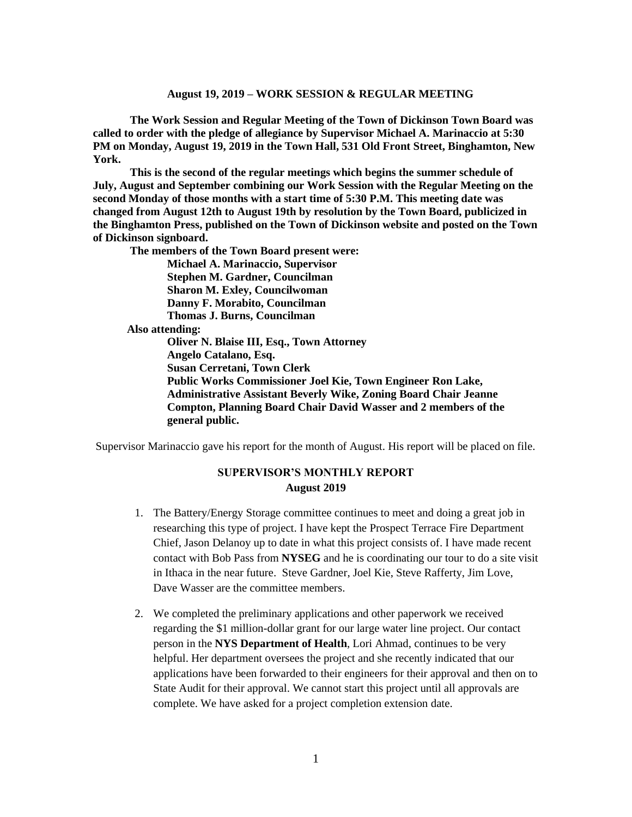**The Work Session and Regular Meeting of the Town of Dickinson Town Board was called to order with the pledge of allegiance by Supervisor Michael A. Marinaccio at 5:30 PM on Monday, August 19, 2019 in the Town Hall, 531 Old Front Street, Binghamton, New York.** 

**This is the second of the regular meetings which begins the summer schedule of July, August and September combining our Work Session with the Regular Meeting on the second Monday of those months with a start time of 5:30 P.M. This meeting date was changed from August 12th to August 19th by resolution by the Town Board, publicized in the Binghamton Press, published on the Town of Dickinson website and posted on the Town of Dickinson signboard.**

**The members of the Town Board present were:**

**Michael A. Marinaccio, Supervisor Stephen M. Gardner, Councilman Sharon M. Exley, Councilwoman Danny F. Morabito, Councilman Thomas J. Burns, Councilman Also attending: Oliver N. Blaise III, Esq., Town Attorney Angelo Catalano, Esq. Susan Cerretani, Town Clerk Public Works Commissioner Joel Kie, Town Engineer Ron Lake, Administrative Assistant Beverly Wike, Zoning Board Chair Jeanne Compton, Planning Board Chair David Wasser and 2 members of the general public.**

Supervisor Marinaccio gave his report for the month of August. His report will be placed on file.

# **SUPERVISOR'S MONTHLY REPORT August 2019**

- 1. The Battery/Energy Storage committee continues to meet and doing a great job in researching this type of project. I have kept the Prospect Terrace Fire Department Chief, Jason Delanoy up to date in what this project consists of. I have made recent contact with Bob Pass from **NYSEG** and he is coordinating our tour to do a site visit in Ithaca in the near future. Steve Gardner, Joel Kie, Steve Rafferty, Jim Love, Dave Wasser are the committee members.
- 2. We completed the preliminary applications and other paperwork we received regarding the \$1 million-dollar grant for our large water line project. Our contact person in the **NYS Department of Health**, Lori Ahmad, continues to be very helpful. Her department oversees the project and she recently indicated that our applications have been forwarded to their engineers for their approval and then on to State Audit for their approval. We cannot start this project until all approvals are complete. We have asked for a project completion extension date.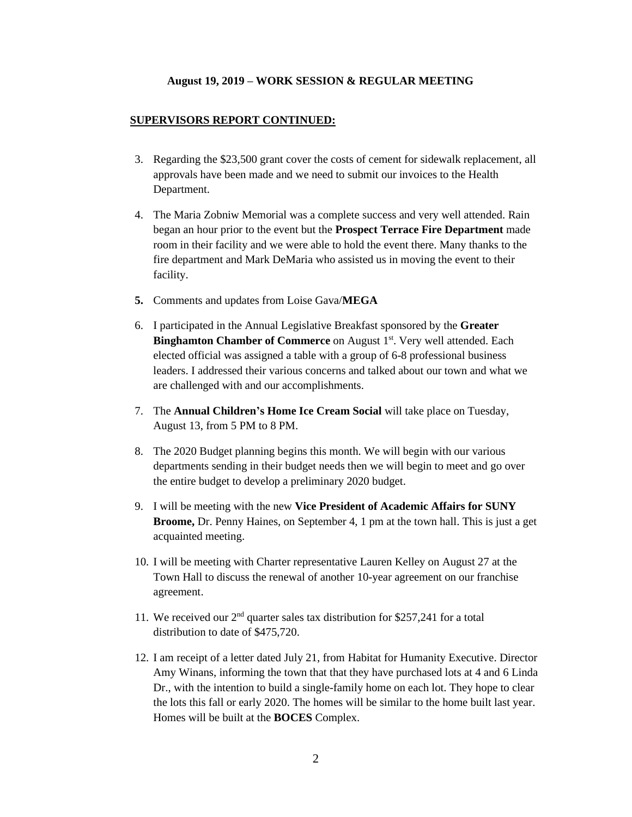### **SUPERVISORS REPORT CONTINUED:**

- 3. Regarding the \$23,500 grant cover the costs of cement for sidewalk replacement, all approvals have been made and we need to submit our invoices to the Health Department.
- 4. The Maria Zobniw Memorial was a complete success and very well attended. Rain began an hour prior to the event but the **Prospect Terrace Fire Department** made room in their facility and we were able to hold the event there. Many thanks to the fire department and Mark DeMaria who assisted us in moving the event to their facility.
- **5.** Comments and updates from Loise Gava/**MEGA**
- 6. I participated in the Annual Legislative Breakfast sponsored by the **Greater Binghamton Chamber of Commerce** on August 1<sup>st</sup>. Very well attended. Each elected official was assigned a table with a group of 6-8 professional business leaders. I addressed their various concerns and talked about our town and what we are challenged with and our accomplishments.
- 7. The **Annual Children's Home Ice Cream Social** will take place on Tuesday, August 13, from 5 PM to 8 PM.
- 8. The 2020 Budget planning begins this month. We will begin with our various departments sending in their budget needs then we will begin to meet and go over the entire budget to develop a preliminary 2020 budget.
- 9. I will be meeting with the new **Vice President of Academic Affairs for SUNY Broome,** Dr. Penny Haines, on September 4, 1 pm at the town hall. This is just a get acquainted meeting.
- 10. I will be meeting with Charter representative Lauren Kelley on August 27 at the Town Hall to discuss the renewal of another 10-year agreement on our franchise agreement.
- 11. We received our  $2<sup>nd</sup>$  quarter sales tax distribution for \$257,241 for a total distribution to date of \$475,720.
- 12. I am receipt of a letter dated July 21, from Habitat for Humanity Executive. Director Amy Winans, informing the town that that they have purchased lots at 4 and 6 Linda Dr., with the intention to build a single-family home on each lot. They hope to clear the lots this fall or early 2020. The homes will be similar to the home built last year. Homes will be built at the **BOCES** Complex.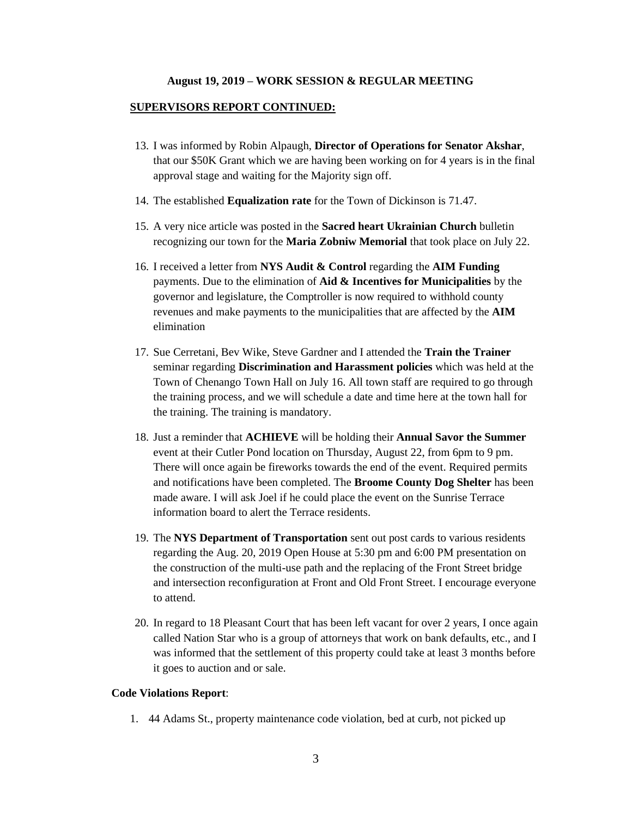#### **SUPERVISORS REPORT CONTINUED:**

- 13. I was informed by Robin Alpaugh, **Director of Operations for Senator Akshar**, that our \$50K Grant which we are having been working on for 4 years is in the final approval stage and waiting for the Majority sign off.
- 14. The established **Equalization rate** for the Town of Dickinson is 71.47.
- 15. A very nice article was posted in the **Sacred heart Ukrainian Church** bulletin recognizing our town for the **Maria Zobniw Memorial** that took place on July 22.
- 16. I received a letter from **NYS Audit & Control** regarding the **AIM Funding** payments. Due to the elimination of **Aid & Incentives for Municipalities** by the governor and legislature, the Comptroller is now required to withhold county revenues and make payments to the municipalities that are affected by the **AIM**  elimination
- 17. Sue Cerretani, Bev Wike, Steve Gardner and I attended the **Train the Trainer** seminar regarding **Discrimination and Harassment policies** which was held at the Town of Chenango Town Hall on July 16. All town staff are required to go through the training process, and we will schedule a date and time here at the town hall for the training. The training is mandatory.
- 18. Just a reminder that **ACHIEVE** will be holding their **Annual Savor the Summer** event at their Cutler Pond location on Thursday, August 22, from 6pm to 9 pm. There will once again be fireworks towards the end of the event. Required permits and notifications have been completed. The **Broome County Dog Shelter** has been made aware. I will ask Joel if he could place the event on the Sunrise Terrace information board to alert the Terrace residents.
- 19. The **NYS Department of Transportation** sent out post cards to various residents regarding the Aug. 20, 2019 Open House at 5:30 pm and 6:00 PM presentation on the construction of the multi-use path and the replacing of the Front Street bridge and intersection reconfiguration at Front and Old Front Street. I encourage everyone to attend.
- 20. In regard to 18 Pleasant Court that has been left vacant for over 2 years, I once again called Nation Star who is a group of attorneys that work on bank defaults, etc., and I was informed that the settlement of this property could take at least 3 months before it goes to auction and or sale.

#### **Code Violations Report**:

1. 44 Adams St., property maintenance code violation, bed at curb, not picked up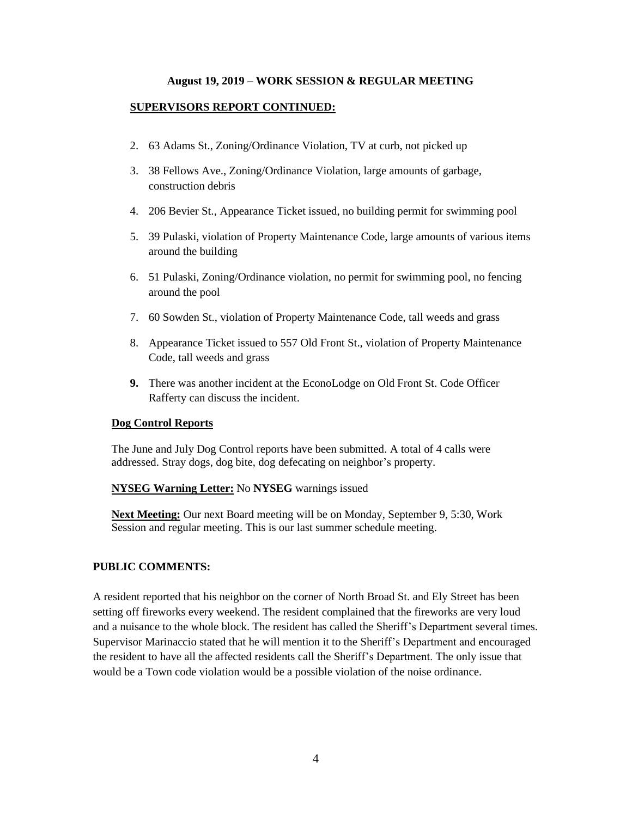### **SUPERVISORS REPORT CONTINUED:**

- 2. 63 Adams St., Zoning/Ordinance Violation, TV at curb, not picked up
- 3. 38 Fellows Ave., Zoning/Ordinance Violation, large amounts of garbage, construction debris
- 4. 206 Bevier St., Appearance Ticket issued, no building permit for swimming pool
- 5. 39 Pulaski, violation of Property Maintenance Code, large amounts of various items around the building
- 6. 51 Pulaski, Zoning/Ordinance violation, no permit for swimming pool, no fencing around the pool
- 7. 60 Sowden St., violation of Property Maintenance Code, tall weeds and grass
- 8. Appearance Ticket issued to 557 Old Front St., violation of Property Maintenance Code, tall weeds and grass
- **9.** There was another incident at the EconoLodge on Old Front St. Code Officer Rafferty can discuss the incident.

#### **Dog Control Reports**

The June and July Dog Control reports have been submitted. A total of 4 calls were addressed. Stray dogs, dog bite, dog defecating on neighbor's property.

### **NYSEG Warning Letter:** No **NYSEG** warnings issued

**Next Meeting:** Our next Board meeting will be on Monday, September 9, 5:30, Work Session and regular meeting. This is our last summer schedule meeting.

## **PUBLIC COMMENTS:**

A resident reported that his neighbor on the corner of North Broad St. and Ely Street has been setting off fireworks every weekend. The resident complained that the fireworks are very loud and a nuisance to the whole block. The resident has called the Sheriff's Department several times. Supervisor Marinaccio stated that he will mention it to the Sheriff's Department and encouraged the resident to have all the affected residents call the Sheriff's Department. The only issue that would be a Town code violation would be a possible violation of the noise ordinance.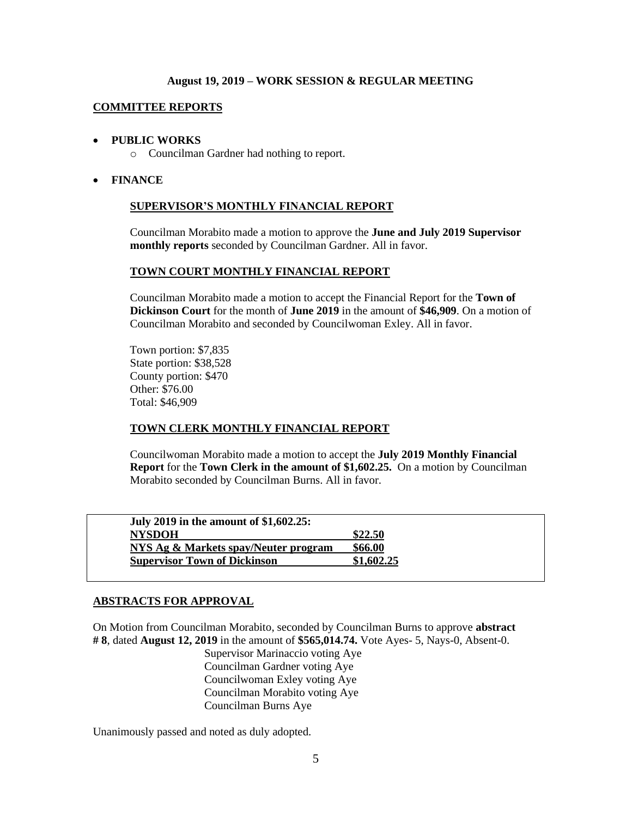### **COMMITTEE REPORTS**

### • **PUBLIC WORKS**

o Councilman Gardner had nothing to report.

### • **FINANCE**

### **SUPERVISOR'S MONTHLY FINANCIAL REPORT**

Councilman Morabito made a motion to approve the **June and July 2019 Supervisor monthly reports** seconded by Councilman Gardner. All in favor.

### **TOWN COURT MONTHLY FINANCIAL REPORT**

Councilman Morabito made a motion to accept the Financial Report for the **Town of Dickinson Court** for the month of **June 2019** in the amount of **\$46,909**. On a motion of Councilman Morabito and seconded by Councilwoman Exley. All in favor.

 Town portion: \$7,835 State portion: \$38,528 County portion: \$470 Other: \$76.00 Total: \$46,909

## **TOWN CLERK MONTHLY FINANCIAL REPORT**

Councilwoman Morabito made a motion to accept the **July 2019 Monthly Financial Report** for the **Town Clerk in the amount of \$1,602.25.** On a motion by Councilman Morabito seconded by Councilman Burns. All in favor.

| July 2019 in the amount of \$1,602.25: |            |
|----------------------------------------|------------|
| <b>NYSDOH</b>                          | \$22.50    |
| NYS Ag & Markets spay/Neuter program   | \$66.00    |
| <b>Supervisor Town of Dickinson</b>    | \$1,602.25 |

## **ABSTRACTS FOR APPROVAL**

On Motion from Councilman Morabito, seconded by Councilman Burns to approve **abstract # 8**, dated **August 12, 2019** in the amount of **\$565,014.74.** Vote Ayes- 5, Nays-0, Absent-0.

Supervisor Marinaccio voting Aye Councilman Gardner voting Aye Councilwoman Exley voting Aye Councilman Morabito voting Aye Councilman Burns Aye

Unanimously passed and noted as duly adopted.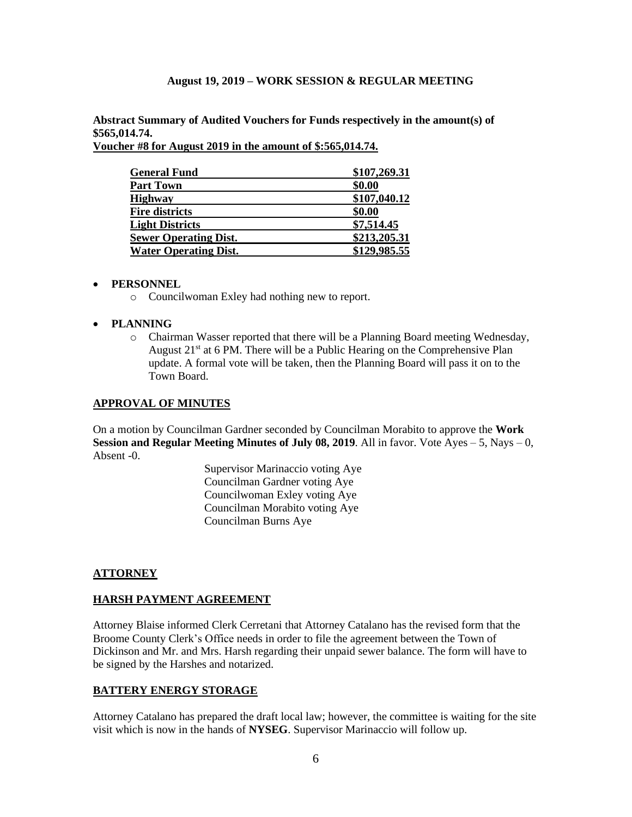**Abstract Summary of Audited Vouchers for Funds respectively in the amount(s) of \$565,014.74.** 

**Voucher #8 for August 2019 in the amount of \$:565,014.74.**

| <b>General Fund</b>          | \$107,269.31 |
|------------------------------|--------------|
| <b>Part Town</b>             | \$0.00       |
| <b>Highway</b>               | \$107,040.12 |
| <b>Fire districts</b>        | \$0.00       |
| <b>Light Districts</b>       | \$7,514.45   |
| <b>Sewer Operating Dist.</b> | \$213,205.31 |
| <b>Water Operating Dist.</b> | \$129,985.55 |

## • **PERSONNEL**

o Councilwoman Exley had nothing new to report.

## • **PLANNING**

o Chairman Wasser reported that there will be a Planning Board meeting Wednesday, August 21<sup>st</sup> at 6 PM. There will be a Public Hearing on the Comprehensive Plan update. A formal vote will be taken, then the Planning Board will pass it on to the Town Board.

### **APPROVAL OF MINUTES**

On a motion by Councilman Gardner seconded by Councilman Morabito to approve the **Work Session and Regular Meeting Minutes of July 08, 2019**. All in favor. Vote Ayes – 5, Nays – 0, Absent -0.

> Supervisor Marinaccio voting Aye Councilman Gardner voting Aye Councilwoman Exley voting Aye Councilman Morabito voting Aye Councilman Burns Aye

## **ATTORNEY**

## **HARSH PAYMENT AGREEMENT**

Attorney Blaise informed Clerk Cerretani that Attorney Catalano has the revised form that the Broome County Clerk's Office needs in order to file the agreement between the Town of Dickinson and Mr. and Mrs. Harsh regarding their unpaid sewer balance. The form will have to be signed by the Harshes and notarized.

## **BATTERY ENERGY STORAGE**

Attorney Catalano has prepared the draft local law; however, the committee is waiting for the site visit which is now in the hands of **NYSEG**. Supervisor Marinaccio will follow up.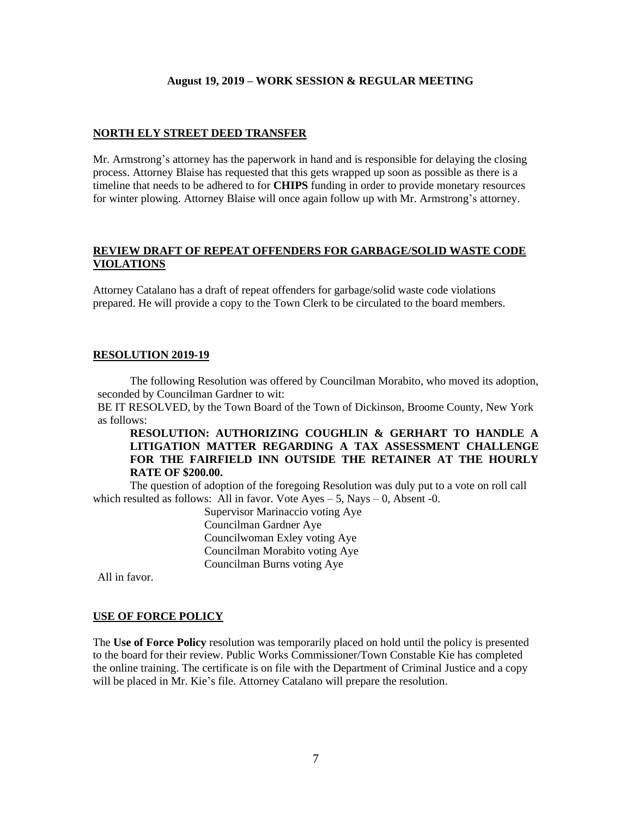### **NORTH ELY STREET DEED TRANSFER**

Mr. Armstrong's attorney has the paperwork in hand and is responsible for delaying the closing process. Attorney Blaise has requested that this gets wrapped up soon as possible as there is a timeline that needs to be adhered to for **CHIPS** funding in order to provide monetary resources for winter plowing. Attorney Blaise will once again follow up with Mr. Armstrong's attorney.

### **REVIEW DRAFT OF REPEAT OFFENDERS FOR GARBAGE/SOLID WASTE CODE VIOLATIONS**

Attorney Catalano has a draft of repeat offenders for garbage/solid waste code violations prepared. He will provide a copy to the Town Clerk to be circulated to the board members.

### **RESOLUTION 2019-19**

The following Resolution was offered by Councilman Morabito, who moved its adoption, seconded by Councilman Gardner to wit:

BE IT RESOLVED, by the Town Board of the Town of Dickinson, Broome County, New York as follows:

**RESOLUTION: AUTHORIZING COUGHLIN & GERHART TO HANDLE A LITIGATION MATTER REGARDING A TAX ASSESSMENT CHALLENGE FOR THE FAIRFIELD INN OUTSIDE THE RETAINER AT THE HOURLY RATE OF \$200.00.**

The question of adoption of the foregoing Resolution was duly put to a vote on roll call which resulted as follows: All in favor. Vote  $Ayes - 5$ , Nays  $-0$ , Absent -0.

Supervisor Marinaccio voting Aye Councilman Gardner Aye Councilwoman Exley voting Aye Councilman Morabito voting Aye Councilman Burns voting Aye

All in favor.

#### **USE OF FORCE POLICY**

The **Use of Force Policy** resolution was temporarily placed on hold until the policy is presented to the board for their review. Public Works Commissioner/Town Constable Kie has completed the online training. The certificate is on file with the Department of Criminal Justice and a copy will be placed in Mr. Kie's file. Attorney Catalano will prepare the resolution.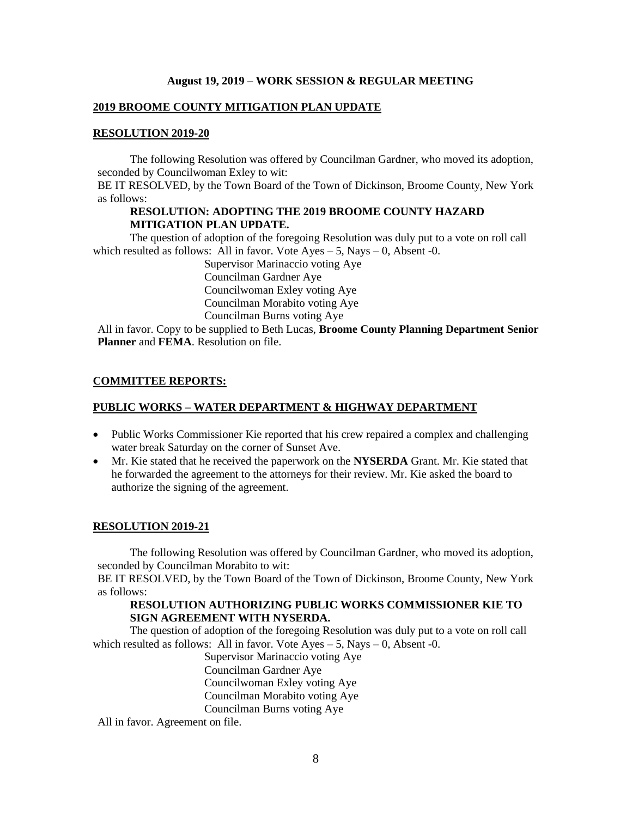#### **2019 BROOME COUNTY MITIGATION PLAN UPDATE**

#### **RESOLUTION 2019-20**

The following Resolution was offered by Councilman Gardner, who moved its adoption, seconded by Councilwoman Exley to wit:

BE IT RESOLVED, by the Town Board of the Town of Dickinson, Broome County, New York as follows:

## **RESOLUTION: ADOPTING THE 2019 BROOME COUNTY HAZARD MITIGATION PLAN UPDATE.**

The question of adoption of the foregoing Resolution was duly put to a vote on roll call which resulted as follows: All in favor. Vote  $Ayes - 5$ , Nays  $- 0$ , Absent -0.

> Supervisor Marinaccio voting Aye Councilman Gardner Aye Councilwoman Exley voting Aye Councilman Morabito voting Aye Councilman Burns voting Aye

All in favor. Copy to be supplied to Beth Lucas, **Broome County Planning Department Senior Planner** and **FEMA**. Resolution on file.

#### **COMMITTEE REPORTS:**

### **PUBLIC WORKS – WATER DEPARTMENT & HIGHWAY DEPARTMENT**

- Public Works Commissioner Kie reported that his crew repaired a complex and challenging water break Saturday on the corner of Sunset Ave.
- Mr. Kie stated that he received the paperwork on the **NYSERDA** Grant. Mr. Kie stated that he forwarded the agreement to the attorneys for their review. Mr. Kie asked the board to authorize the signing of the agreement.

### **RESOLUTION 2019-21**

The following Resolution was offered by Councilman Gardner, who moved its adoption, seconded by Councilman Morabito to wit:

BE IT RESOLVED, by the Town Board of the Town of Dickinson, Broome County, New York as follows:

## **RESOLUTION AUTHORIZING PUBLIC WORKS COMMISSIONER KIE TO SIGN AGREEMENT WITH NYSERDA.**

The question of adoption of the foregoing Resolution was duly put to a vote on roll call which resulted as follows: All in favor. Vote  $Ayes - 5$ , Nays  $- 0$ , Absent -0.

Supervisor Marinaccio voting Aye Councilman Gardner Aye Councilwoman Exley voting Aye Councilman Morabito voting Aye Councilman Burns voting Aye

All in favor. Agreement on file.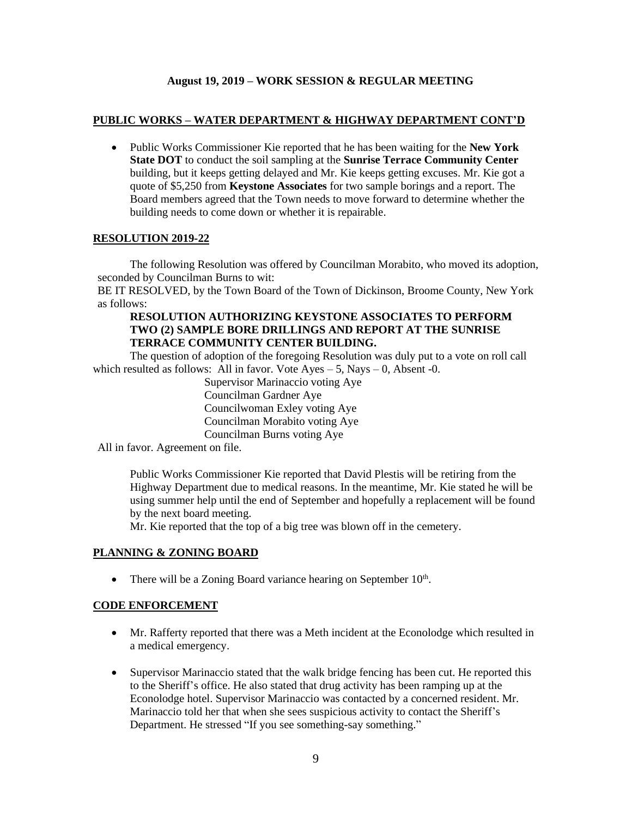### **PUBLIC WORKS – WATER DEPARTMENT & HIGHWAY DEPARTMENT CONT'D**

• Public Works Commissioner Kie reported that he has been waiting for the **New York State DOT** to conduct the soil sampling at the **Sunrise Terrace Community Center** building, but it keeps getting delayed and Mr. Kie keeps getting excuses. Mr. Kie got a quote of \$5,250 from **Keystone Associates** for two sample borings and a report. The Board members agreed that the Town needs to move forward to determine whether the building needs to come down or whether it is repairable.

### **RESOLUTION 2019-22**

The following Resolution was offered by Councilman Morabito, who moved its adoption, seconded by Councilman Burns to wit:

BE IT RESOLVED, by the Town Board of the Town of Dickinson, Broome County, New York as follows:

## **RESOLUTION AUTHORIZING KEYSTONE ASSOCIATES TO PERFORM TWO (2) SAMPLE BORE DRILLINGS AND REPORT AT THE SUNRISE TERRACE COMMUNITY CENTER BUILDING.**

The question of adoption of the foregoing Resolution was duly put to a vote on roll call which resulted as follows: All in favor. Vote  $Ayes - 5$ , Nays  $- 0$ , Absent -0.

> Supervisor Marinaccio voting Aye Councilman Gardner Aye Councilwoman Exley voting Aye Councilman Morabito voting Aye Councilman Burns voting Aye

All in favor. Agreement on file.

Public Works Commissioner Kie reported that David Plestis will be retiring from the Highway Department due to medical reasons. In the meantime, Mr. Kie stated he will be using summer help until the end of September and hopefully a replacement will be found by the next board meeting.

Mr. Kie reported that the top of a big tree was blown off in the cemetery.

## **PLANNING & ZONING BOARD**

• There will be a Zoning Board variance hearing on September  $10<sup>th</sup>$ .

### **CODE ENFORCEMENT**

- Mr. Rafferty reported that there was a Meth incident at the Econolodge which resulted in a medical emergency.
- Supervisor Marinaccio stated that the walk bridge fencing has been cut. He reported this to the Sheriff's office. He also stated that drug activity has been ramping up at the Econolodge hotel. Supervisor Marinaccio was contacted by a concerned resident. Mr. Marinaccio told her that when she sees suspicious activity to contact the Sheriff's Department. He stressed "If you see something-say something."